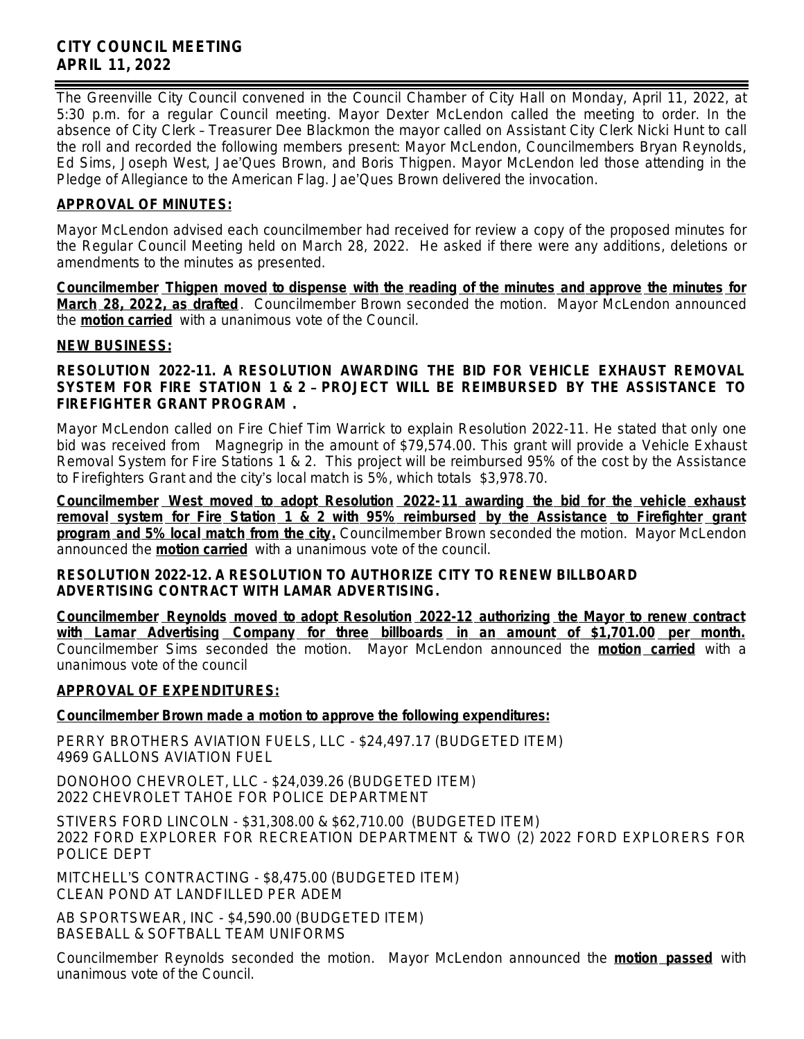# **CITY COUNCIL MEETING APRIL 11, 2022**

The Greenville City Council convened in the Council Chamber of City Hall on Monday, April 11, 2022, at 5:30 p.m. for a regular Council meeting. Mayor Dexter McLendon called the meeting to order. In the absence of City Clerk – Treasurer Dee Blackmon the mayor called on Assistant City Clerk Nicki Hunt to call the roll and recorded the following members present: Mayor McLendon, Councilmembers Bryan Reynolds, Ed Sims, Joseph West, Jae'Ques Brown, and Boris Thigpen. Mayor McLendon led those attending in the Pledge of Allegiance to the American Flag. Jae'Ques Brown delivered the invocation.

# **APPROVAL OF MINUTES:**

Mayor McLendon advised each councilmember had received for review a copy of the proposed minutes for the Regular Council Meeting held on March 28, 2022. He asked if there were any additions, deletions or amendments to the minutes as presented.

**Councilmember Thigpen moved to dispense with the reading of the minutes and approve the minutes for March 28, 2022, as drafted**. Councilmember Brown seconded the motion. Mayor McLendon announced the **motion carried** with a unanimous vote of the Council.

## **NEW BUSINESS:**

### **RESOLUTION 2022-11. A RESOLUTION AWARDING THE BID FOR VEHICLE EXHAUST REMOVAL SYSTEM FOR FIRE STATION 1 & 2** – **PROJECT WILL BE REIMBURSED BY THE ASSISTANCE TO FIREFIGHTER GRANT PROGRAM .**

Mayor McLendon called on Fire Chief Tim Warrick to explain Resolution 2022-11. He stated that only one bid was received from Magnegrip in the amount of \$79,574.00. This grant will provide a Vehicle Exhaust Removal System for Fire Stations 1 & 2. This project will be reimbursed 95% of the cost by the Assistance to Firefighters Grant and the city's local match is 5%, which totals \$3,978.70.

**Councilmember West moved to adopt Resolution 2022-11 awarding the bid for the vehicle exhaust removal system for Fire Station 1 & 2 with 95% reimbursed by the Assistance to Firefighter grant program and 5% local match from the city.** Councilmember Brown seconded the motion. Mayor McLendon announced the **motion carried** with a unanimous vote of the council.

#### **RESOLUTION 2022-12. A RESOLUTION TO AUTHORIZE CITY TO RENEW BILLBOARD ADVERTISING CONTRACT WITH LAMAR ADVERTISING.**

**Councilmember Reynolds moved to adopt Resolution 2022-12 authorizing the Mayor to renew contract with Lamar Advertising Company for three billboards in an amount of \$1,701.00 per month.** Councilmember Sims seconded the motion. Mayor McLendon announced the **motion carried** with a unanimous vote of the council

## **APPROVAL OF EXPENDITURES:**

## **Councilmember Brown made a motion to approve the following expenditures:**

PERRY BROTHERS AVIATION FUELS, LLC - \$24,497.17 (BUDGETED ITEM) 4969 GALLONS AVIATION FUEL

DONOHOO CHEVROLET, LLC - \$24,039.26 (BUDGETED ITEM) 2022 CHEVROLET TAHOE FOR POLICE DEPARTMENT

STIVERS FORD LINCOLN - \$31,308.00 & \$62,710.00 (BUDGETED ITEM) 2022 FORD EXPLORER FOR RECREATION DEPARTMENT & TWO (2) 2022 FORD EXPLORERS FOR POLICE DEPT

MITCHELL'S CONTRACTING - \$8,475.00 (BUDGETED ITEM) CLEAN POND AT LANDFILLED PER ADEM

AB SPORTSWEAR, INC - \$4,590.00 (BUDGETED ITEM) BASEBALL & SOFTBALL TEAM UNIFORMS

Councilmember Reynolds seconded the motion. Mayor McLendon announced the **motion passed** with unanimous vote of the Council.